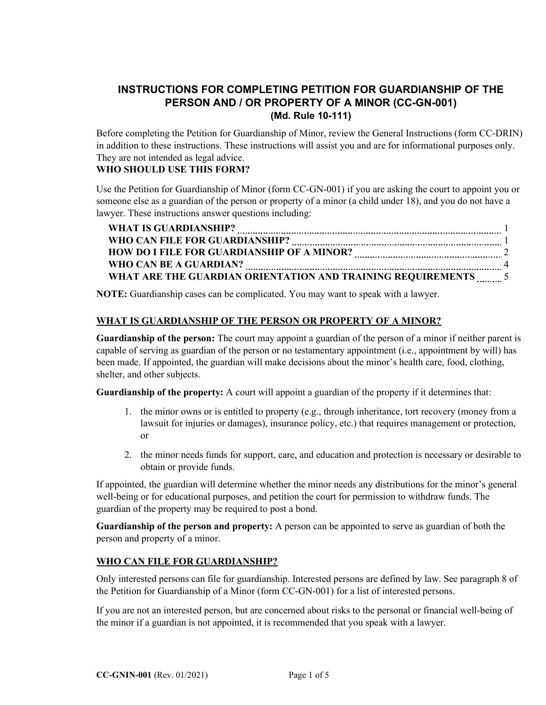# **INSTRUCTIONS FOR COMPLETING PETITION FOR GUARDIANSHIP OF THE PERSON AND / OR PROPERTY OF A MINOR (CC-GN-001) (Md. Rule 10-111)**

Before completing the Petition for Guardianship of Minor, review the General Instructions (form CC-DRIN) in addition to these instructions. These instructions will assist you and are for informational purposes only. They are not intended as legal advice.

### **WHO SHOULD USE THIS FORM?**

Use the Petition for Guardianship of Minor (form CC-GN-001) if you are asking the court to appoint you or someone else as a guardian of the person or property of a minor (a child under 18), and you do not have a lawyer. These instructions answer questions including:

| <b>WHAT IS GUARDIANSHIP?</b>                                |  |
|-------------------------------------------------------------|--|
| WHO CAN FILE FOR GUARDIANSHIP?                              |  |
| <b>HOW DO I FILE FOR GUARDIANSHIP OF A MINOR?</b>           |  |
| WHO CAN BE A GUARDIAN?                                      |  |
| WHAT ARE THE GUARDIAN ORIENTATION AND TRAINING REQUIREMENTS |  |

**NOTE:** Guardianship cases can be complicated. You may want to speak with a lawyer.

## **WHAT IS GUARDIANSHIP OF THE PERSON OR PROPERTY OF A MINOR?**

**Guardianship of the person:** The court may appoint a guardian of the person of a minor if neither parent is capable of serving as guardian of the person or no testamentary appointment (i.e., appointment by will) has been made. If appointed, the guardian will make decisions about the minor's health care, food, clothing, shelter, and other subjects.

**Guardianship of the property:** A court will appoint a guardian of the property if it determines that:

- 1. the minor owns or is entitled to property (e.g., through inheritance, tort recovery (money from a lawsuit for injuries or damages), insurance policy, etc.) that requires management or protection, or
- 2. the minor needs funds for support, care, and education and protection is necessary or desirable to obtain or provide funds.

If appointed, the guardian will determine whether the minor needs any distributions for the minor's general well-being or for educational purposes, and petition the court for permission to withdraw funds. The guardian of the property may be required to post a bond.

**Guardianship of the person and property:** A person can be appointed to serve as guardian of both the person and property of a minor.

## **WHO CAN FILE FOR GUARDIANSHIP?**

Only interested persons can file for guardianship. Interested persons are defined by law. See paragraph 8 of the Petition for Guardianship of a Minor (form CC-GN-001) for a list of interested persons.

If you are not an interested person, but are concerned about risks to the personal or financial well-being of the minor if a guardian is not appointed, it is recommended that you speak with a lawyer.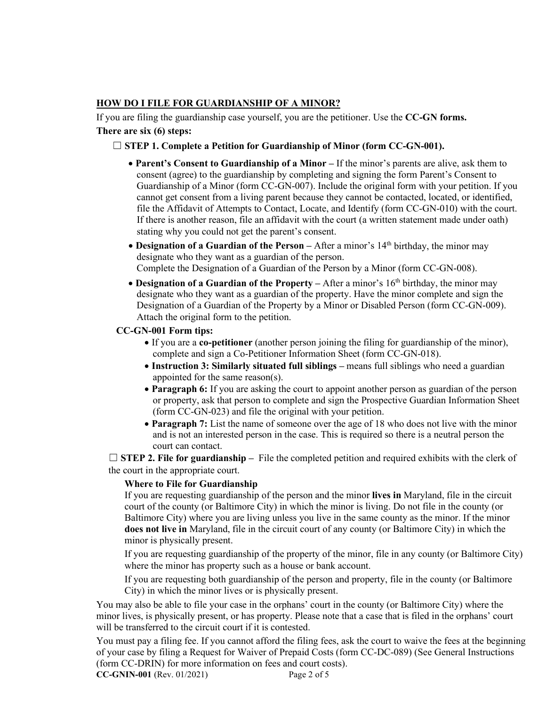### **HOW DO I FILE FOR GUARDIANSHIP OF A MINOR?**

If you are filing the guardianship case yourself, you are the petitioner. Use the **CC-GN forms.**

# **There are six (6) steps:**

## ☐ **STEP 1. Complete a Petition for Guardianship of Minor (form CC-GN-001).**

- **Parent's Consent to Guardianship of a Minor –** If the minor's parents are alive, ask them to consent (agree) to the guardianship by completing and signing the form Parent's Consent to Guardianship of a Minor (form CC-GN-007). Include the original form with your petition. If you cannot get consent from a living parent because they cannot be contacted, located, or identified, file the Affidavit of Attempts to Contact, Locate, and Identify (form CC-GN-010) with the court. If there is another reason, file an affidavit with the court (a written statement made under oath) stating why you could not get the parent's consent.
- **Designation of a Guardian of the Person** After a minor's 14<sup>th</sup> birthday, the minor may designate who they want as a guardian of the person. Complete the Designation of a Guardian of the Person by a Minor (form CC-GN-008).
- **Designation of a Guardian of the Property** After a minor's 16<sup>th</sup> birthday, the minor may designate who they want as a guardian of the property. Have the minor complete and sign the Designation of a Guardian of the Property by a Minor or Disabled Person (form CC-GN-009). Attach the original form to the petition.

### **CC-GN-001 Form tips:**

- If you are a **co-petitioner** (another person joining the filing for guardianship of the minor), complete and sign a Co-Petitioner Information Sheet (form CC-GN-018).
- **Instruction 3: Similarly situated full siblings –** means full siblings who need a guardian appointed for the same reason(s).
- **Paragraph 6:** If you are asking the court to appoint another person as guardian of the person or property, ask that person to complete and sign the Prospective Guardian Information Sheet (form CC-GN-023) and file the original with your petition.
- **Paragraph 7:** List the name of someone over the age of 18 who does not live with the minor and is not an interested person in the case. This is required so there is a neutral person the court can contact.

 $\Box$  **STEP 2. File for guardianship** – File the completed petition and required exhibits with the clerk of the court in the appropriate court.

#### **Where to File for Guardianship**

If you are requesting guardianship of the person and the minor **lives in** Maryland, file in the circuit court of the county (or Baltimore City) in which the minor is living. Do not file in the county (or Baltimore City) where you are living unless you live in the same county as the minor. If the minor **does not live in** Maryland, file in the circuit court of any county (or Baltimore City) in which the minor is physically present.

If you are requesting guardianship of the property of the minor, file in any county (or Baltimore City) where the minor has property such as a house or bank account.

If you are requesting both guardianship of the person and property, file in the county (or Baltimore City) in which the minor lives or is physically present.

You may also be able to file your case in the orphans' court in the county (or Baltimore City) where the minor lives, is physically present, or has property. Please note that a case that is filed in the orphans' court will be transferred to the circuit court if it is contested.

You must pay a filing fee. If you cannot afford the filing fees, ask the court to waive the fees at the beginning of your case by filing a Request for Waiver of Prepaid Costs (form CC-DC-089) (See General Instructions (form CC-DRIN) for more information on fees and court costs).

**CC-GNIN-001** (Rev. 01/2021) Page 2 of 5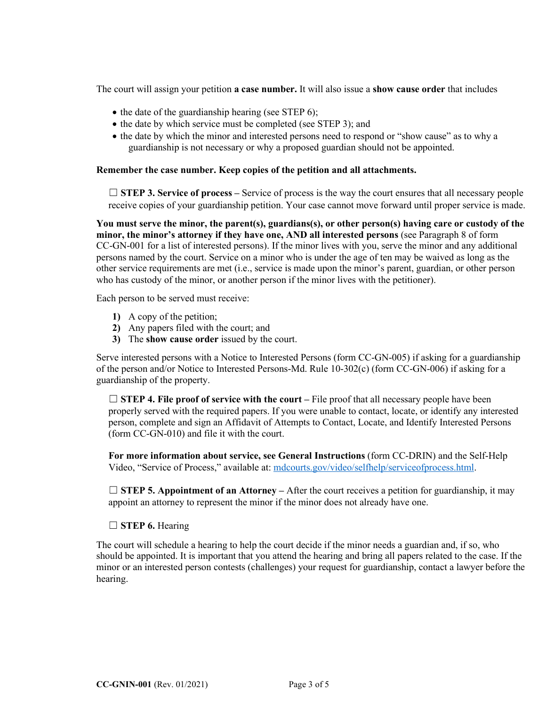The court will assign your petition **a case number.** It will also issue a **show cause order** that includes

- the date of the guardianship hearing (see STEP 6);
- the date by which service must be completed (see STEP 3); and
- the date by which the minor and interested persons need to respond or "show cause" as to why a guardianship is not necessary or why a proposed guardian should not be appointed.

#### **Remember the case number. Keep copies of the petition and all attachments.**

□ **STEP 3. Service of process** – Service of process is the way the court ensures that all necessary people receive copies of your guardianship petition. Your case cannot move forward until proper service is made.

**You must serve the minor, the parent(s), guardians(s), or other person(s) having care or custody of the minor, the minor's attorney if they have one, AND all interested persons** (see Paragraph 8 of form CC-GN-001 for a list of interested persons). If the minor lives with you, serve the minor and any additional persons named by the court. Service on a minor who is under the age of ten may be waived as long as the other service requirements are met (i.e., service is made upon the minor's parent, guardian, or other person who has custody of the minor, or another person if the minor lives with the petitioner).

Each person to be served must receive:

- **1)** A copy of the petition;
- **2)** Any papers filed with the court; and
- **3)** The **show cause order** issued by the court.

Serve interested persons with a Notice to Interested Persons (form CC-GN-005) if asking for a guardianship of the person and/or Notice to Interested Persons-Md. Rule 10-302(c) (form CC-GN-006) if asking for a guardianship of the property.

□ **STEP 4. File proof of service with the court** – File proof that all necessary people have been properly served with the required papers. If you were unable to contact, locate, or identify any interested person, complete and sign an Affidavit of Attempts to Contact, Locate, and Identify Interested Persons (form CC-GN-010) and file it with the court.

**For more information about service, see General Instructions** (form CC-DRIN) and the Self-Help Video, "Service of Process," available at: [mdcourts.gov/video/selfhelp/serviceofprocess.html.](http://www.mdcourts.gov/video/selfhelp/serviceofprocess.html)

 $\Box$  **STEP 5. Appointment of an Attorney** – After the court receives a petition for guardianship, it may appoint an attorney to represent the minor if the minor does not already have one.

#### ☐ **STEP 6.** Hearing

The court will schedule a hearing to help the court decide if the minor needs a guardian and, if so, who should be appointed. It is important that you attend the hearing and bring all papers related to the case. If the minor or an interested person contests (challenges) your request for guardianship, contact a lawyer before the hearing.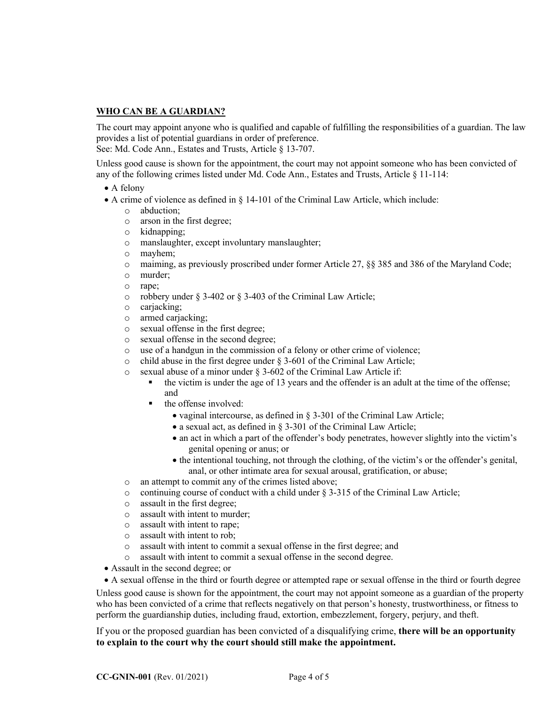#### **WHO CAN BE A GUARDIAN?**

The court may appoint anyone who is qualified and capable of fulfilling the responsibilities of a guardian. The law provides a list of potential guardians in order of preference. See: Md. Code Ann., Estates and Trusts, Article § 13-707.

Unless good cause is shown for the appointment, the court may not appoint someone who has been convicted of any of the following crimes listed under Md. Code Ann., Estates and Trusts, Article § 11-114:

- A felony
- A crime of violence as defined in § 14-101 of the Criminal Law Article, which include:
	- o abduction;
	- o arson in the first degree;
	- o kidnapping;
	- o manslaughter, except involuntary manslaughter;
	- o mayhem;
	- o maiming, as previously proscribed under former Article 27, §§ 385 and 386 of the Maryland Code;
	- o murder;
	- o rape;
	- o robbery under § 3-402 or § 3-403 of the Criminal Law Article;
	- o carjacking;
	- o armed carjacking;
	- o sexual offense in the first degree;
	- o sexual offense in the second degree;
	- o use of a handgun in the commission of a felony or other crime of violence;
	- o child abuse in the first degree under § 3-601 of the Criminal Law Article;
	- o sexual abuse of a minor under § 3-602 of the Criminal Law Article if:
		- $\bullet$  the victim is under the age of 13 years and the offender is an adult at the time of the offense; and
		- $\blacksquare$  the offense involved:
			- vaginal intercourse, as defined in § 3-301 of the Criminal Law Article;
			- a sexual act, as defined in § 3-301 of the Criminal Law Article;
			- an act in which a part of the offender's body penetrates, however slightly into the victim's genital opening or anus; or
			- the intentional touching, not through the clothing, of the victim's or the offender's genital, anal, or other intimate area for sexual arousal, gratification, or abuse;
	- o an attempt to commit any of the crimes listed above;
	- $\circ$  continuing course of conduct with a child under § 3-315 of the Criminal Law Article;
	- o assault in the first degree;
	- o assault with intent to murder;
	- o assault with intent to rape;
	- o assault with intent to rob;
	- o assault with intent to commit a sexual offense in the first degree; and
	- o assault with intent to commit a sexual offense in the second degree.
- Assault in the second degree; or
- A sexual offense in the third or fourth degree or attempted rape or sexual offense in the third or fourth degree

Unless good cause is shown for the appointment, the court may not appoint someone as a guardian of the property who has been convicted of a crime that reflects negatively on that person's honesty, trustworthiness, or fitness to perform the guardianship duties, including fraud, extortion, embezzlement, forgery, perjury, and theft.

If you or the proposed guardian has been convicted of a disqualifying crime, **there will be an opportunity to explain to the court why the court should still make the appointment.**